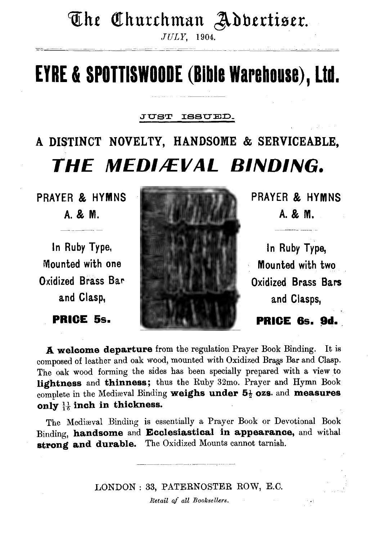# The Churchman Adbertiser.

*JULY,* 1904.

# **EYRE & SPOTTISWOODE (Bible Warehouse), Ltd.**

### JUST ISSUED.

# A DISTINCT NOVELTY, HANDSOME & SERVICEABLE, THE MEDIÆVAL BINDING.



A welcome departure from the regulation Prayer Book Binding. It is composed of leather and oak wood, mounted with Oxidized Brass Bar and Clasp. The oak wood forming the sides has been specially prepared with a view to lightness and thinness; thus the Ruby 32mo. Prayer and Hymn Book complete in the Mediaval Binding weighs under  $5\frac{1}{2}$  ozs. and measures only  $\frac{11}{16}$  inch in thickness.

The Mediaval Binding is essentially a Prayer Book or Devotional Book Binding, handsome and Ecclesiastical in appearance, and withal strong and durable. The Oxidized Mounts cannot tarnish.

> LONDON: 33, PATERNOSTER ROW, E.C. *Retail* of *all Booksellers.*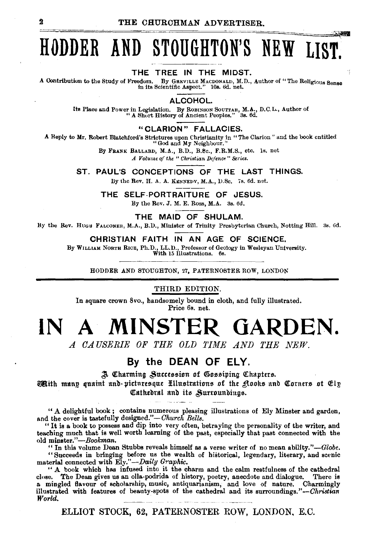# **HODDER AND STOUGHTON'S NEW LIST.**

THE TREE IN THE MIDST.<br>A Contribution to the Study of Freedom. By GREVILLE MACDONALD, M.D., A Contribution to the Study of Freedom. By Gasville MacDONALD, M.D., Author of "The Religious Sense in its Scientific Aspect." 10s. 6d. net.

#### ALCOHOL.

Its Place and Power in Legislation. By ROBINSON SOUTTAR, M.A., D.C.L., Author of "A Short History of Ancient Peoples." 38. 6d.

### "CLARION" FALLACIES.

A Reply to Mr. Robert Blatchford's Strictures upon Christianity in "The Clarion" and the book entitled "God and My Neighbour."

By FRANK BALLARD, M.A., B.D., B.8c., F.R.M.S., etc. ls. net *A Volume of the "Christian Defencf-" Series.* 

ST. PAUL'S CONCEPTIONS OF THE LAST THINGS.

lly the Rev. H. A. A. KENNEDY, M.A., D.Sc. 7s. 6d. net.

THE SELF-PORTRAITURE OF JESUS. By the Rev. J. M. E. Ross, M.A. 3s. 6d.

THE MAID OF SHULAM.

By the Rev. Huge FALCONER, M.A., B.D., Minister of Trinity Presbyterian Church, Notting Hill. 3s. 6d.

#### CHRISTIAN FAITH IN AN AGE OF SCIENCE.

By WILLIAM NORTH RICE, Ph.D., LL.D., Professor of Geology in Wesleyan University. With 15 Illustrations. 6s.

HODDER AND STOUGHTON, 27, PATERNOSTER ROW, LONDON

#### THIRD EDITION.

In square crown Svo., handsomely bound in cloth, and fully illustrated. Price 6s. net.

# **IN A MINSTER GARDEN.**

*A OA USERIE OF THE OLD TIME AND THE NEW.* 

### By the DEAN OF ELY.

;J Qtharming ,\$nue.ssion of Q§o.s.siping C!11tapter.s.

**@Bi**th manp quaint and picturesque Hllustrations of the Rooks and Corners ot Elp Cathedral and its Surroundings.

"A delightful hook; contains numerous pleasing illustrations of Ely Minster and garden, and the cover is tastefully designed."-*Church Bells*.

"It is a book to possess and dip into very often, betraying the personality of the writer, and teaching much that is well worth learning of the past, especially that past connected with the old minster."-Bookman.

"In this volume Dean Stubbs reveals himself as a verse writer of no mean ability."-Globe. "Succeeds in bringing before us the wealth of historical, legendary, literary, and scenic material connected with *Ely."-Daily Graphic.* 

" A book which has infused into it the charm and the calm restfulness of the cathedral close. The Dean gives us an olla-podrida of history, poetry, anecdote and dialogue. There ie a mingled flavour of scholarship, music, antiquarianism, and love of nature. Charmingly illustrated with features of beauty-spots of the cathedral and its surroundings."--Christian *World.* 

ELLIOT STOCK, 62, PATERNOSTER ROW, LONDON, E.C.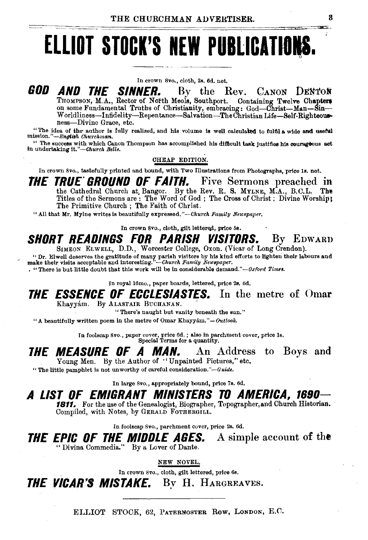# ELLIOT STOCK'S NEW PUBLICATIONS.

In crown 8vo., cloth, 2s. 6d, net.

GOD AND THE the Rev. CANON DENTON *SINNER.*  $\mathbf{B}\mathbf{v}$ THOMPSON, M.A., Rector of North Meols, Southport. Containing Twelve Chapters on some Fundamental Truths of Christianity, embracing: God-Christ-Man-Sin-Worldliness-Infidelity-Repentance-Salvation-The Christian Life-Self-Righteousness-Divine Grace. etc.

"The idea of the author is fully realized, and his volume is well calculated to fulfil a wide and useful mission."-English Churchman.

The success with which Canon Thompson has accomplished his difficult task justifies his courageous act in undertaking it."—Church Bells.

CHEAP EDITION.

In crown 8vo., tastefully printed and bound, with Two Illustrations from Photographs, price is, net.

*THE TRUE GROUND OF FAITH.* Five Sermons preached in the Cathedral Church at Bangor. By the Rev. R. S. MYLNE, M.A., B.C.L. The Titles of the Sermons are: The Word of God; The Cross of Christ; Divine Worship; The Primitive Church ; The Faith of Christ.

"All that Mr. Mylne writes is beautifully expressed."--Church Family Neuspaper.

In crown 8vo., cloth, gilt lettered, price 5s.

#### **SHORT READINGS FOR PARISH VISITORS.** By EDWARD SIMEON ELWELL, D.D., Worcester College, Oxon. (Vicar of Long Crendon).

"Or Elisentes the gratitude of many parish visitors by his kind efforts to lighten their labours and make their visits acceptable and interesting."—Church Family Neuspaper.<br>
. "There is but little doubt that this work will

In royal 16mo., paper boards, lettered, price 2s. 6d.

### **THE ESSENCE OF ECCLESIASTES.** In the metre of Omar Khayyám. By ALASTAIR BUCHANAN.

"There's naught but vanity beneath the sun."

"A beautifully written poem in the metre of Omar Khayyám."-Outlook.

In foolscap 8vo., paper cover, price 6d.; also in parchment cover, price 1s.<br>Special Terms for a quantity.

#### *THE MEASURE OF A MAN.* An Address to Boys and Young Men. By the Author of "Unpainted Pictures," etc.

"The little pamphlet is not unworthy of careful consideration."-Guide.

In large 8vo., appropriately bound, price 7s. 6d.

### A LIST OF EMIGRANT MINISTERS TO AMERICA. 1690-

1811. For the use of the Genealogist, Biographer, Topographer, and Church Historian. Compiled, with Notes, by GERALD FOTHERGILL.

In foolscap 8vo., parchment cover, price 2s. 6d.

A simple account of the THE EPIC OF THE MIDDLE AGES. "Divina Commedia." By a Lover of Dante.

NEW NOVEL.

In crown 8vo., cloth, gilt lettered, price 6s.

**THE VICAR'S MISTAKE.** By H. HARGREAVES.

ELLIOT STOCK, 62, PATERNOSTER ROW, LONDON, E.C.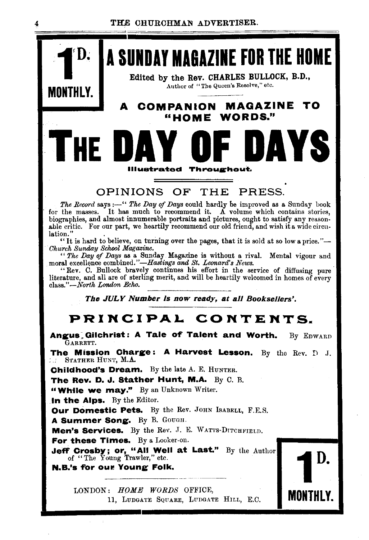

#### OPINIONS OF PRESS. **THE**

The Record says:—" The Day of Days could hardly be improved as a Sunday book for the masses. It has much to recommend it.  $\tilde{A}$  volume which contains stories, biographies, and almost innumerable portraits and pictures, ought to satisfy any reasonable critic. For our part, we heartily recommend our old friend, and wish it a wide circulation."

"It is hard to believe, on turning over the pages, that it is sold at so low a price."-Church Sunday School Magazine.

""The Day of Days as a Sunday Magazine is without a rival. Mental vigour and moral excellence combined."—Hastings and St. Leonard's News.

"Rev. C. Bullock bravely continues his effort in the service of diffusing pure literature, and all are of sterling merit, and will be heartily welcomed in homes of every  $class.$ " $-North$  London Echo.

The JULY Number is now ready, at all Booksellers'.

## PRINCIPAL CONTENTS.

Angus Gilchrist: A Tale of Talent and Worth. By EDWARD GARRETT. The Mission Charge: A Harvest Lesson. By the Rev.  $D$  J. STATHER HUNT, M.A. f a Childhood's Dream. By the late A. E. HUNTER. The Rev. D. J. Stather Hunt, M.A. By C. B. "While we may." By an Unknown Writer.

D.

MONTHLY.

In the Alps. By the Editor.

Our Domestic Pets. By the Rev. JOHN ISABELL, F.E.S.

A Summer Song. By B. GOUGH.

Men's Services. By the Rev. J. E. WATTS-DITCHFIELD.

For these Times. By a Looker-on.

Jeff Crosby; or, "All Well at Last." By the Author of "The Young Trawler," etc.

N.B.'s for our Young Folk.

LONDON: HOME WORDS OFFICE, 11, LUDGATE SQUARE, LUDGATE HILL, E.C.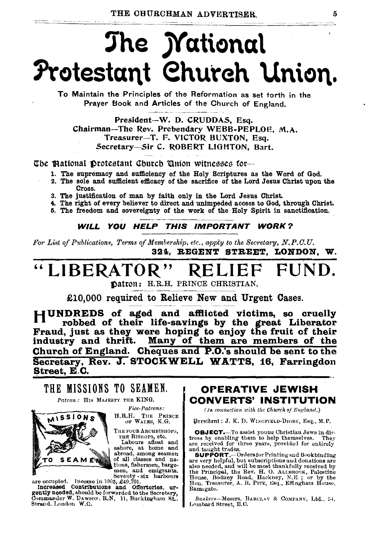# The *M*ational Protestant Church Union.

To Maintain the Principles of the Reformation as set torth in the Prayer Book and Articles of the Church of England.

President-W. D. CRUDDAS, Esq. Chairman-The Rev. Prebendary WEBB-PEPLOE, M.A. Treasurer-T. F. VICTOR BUXTON, Esq. Secretary-Sir C. ROBERT LIGHTON. Bart.

The Mational Drotestant Church Union witnesses for-

- 1. The supremacy and sufficiency of the Holy Scriptures as the Word of God.
- 2. The sole and sufficient efficacy of the sacrifice of the Lord Jesus Christ upon the Cross.
- 3. The justification of man by faith only in the Lord Jesus Christ.
- 4. The right of every believer to direct and unimpeded access to God, through Christ.
- 5. The freedom and sovereignty of the work of the Holy Spirit in sanctification.

WILL YOU HELP THIS IMPORTANT WORK?

For List of Publications, Terms of Membership, etc., apply to the Secretary, N.P.C.U. 324. REGENT STREET. LONDON. W.

### "LIBERATOR" FUND.

Datron: H.R.H. PRINCE CHRISTIAN.

£10,000 required to Relieve New and Urgent Cases.

HUNDREDS of aged and afflicted victims, so cruelly robbed of their life-savings by the great Liberator Fraud, just as they were hoping to enjoy the fruit of their industry and thrift. Many of them are members of the Church of England. Cheques and P.O.'s should be sent to the Secretary, Rev. J. STOCKWELL WATTS, 16, Farringdon Street, E.C.

## THE MISSIONS TO SEAMEN.

Patron: HIS MAJESTY THE KING.



Vice-Patrons:

H.R.H. THE PRINCE OF WALES, K.G.

THE FOUR ARCHBISHOPS. THE BISHOPS, etc.

Labours afloat and ashore, at home and<br>abroad, among seamen of all classes and nations, fishermen, bargemen, and emigrants.

men, and emergency<br>merecaused. Income in 1903, 249,701.<br>Increased Contributions and Offertories, urgently needed, should be forwarded to the Socretary, Commander W. DAWSON. R.N. 11, Buckingham St., Strand. London W.C.

### **OPERATIVE JEWISH CONVERTS' INSTITUTION**

(In connection with the Church of England.)

President : J. K. D. WISGFIELD-DIGBY, Esq., M.P.

OBJECT.-To assist young Christian Jews in dis-**CONSECTION**<br>and the property of the paralling them to help themselves. They<br>are received for three years, provided for entirely<br>and taught trades.

SUPPORT.--Orders for Printing and Book binding<br>are very helpful, but subscriptions and donations are also needed, and will be most thankfully received by also needed, she will be increased and the Principal, the Rev. H. O. ALLBROOK, Palestine House, Bodney Road, Hackney, N.E.; or by the Hon. Treasurer, A. R. Pirz, Esq., Effingham House, Ramsgate.

Bankers-Messrs. BARCLAY & COMPANY, Ltd., 54. Lombard Street, E.C.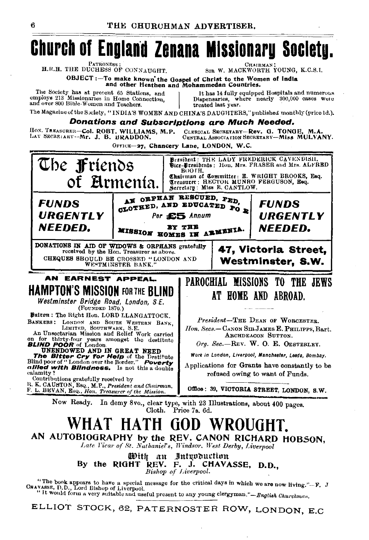# **Church of England Zenana Missionary Society.**

**PATRONESS** H.R.H. THE DUCHESS OF CONNAUGHT.

**CHAIRMA** SIR W. MACKWORTH YOUNG. K.C.S.I.

OBJECT:-To make known the Gospel of Christ to the Women of India and other Heathen and Mohammedan Countries.

The Society has at present 65 Stations, and employs 213 Missionaries in Home Connection. and over 800 Bible-Women and Teachers.

It has 14 fully equipped Hospitals and numerous<br>Dispensaries, where nearly 300,000 cases were treated last year.

The Magazine of the Society, "INDIA'S WOMEN AND CHINA'S DAUGHTERS," published monthly (price 1d.).

#### **Donations and Subscriptions are Much Needed.**

HOS. TREASURER-Col. ROBT. WILLIAMS, M.P. CLERICAL SECRETARY-Rev. G. TONGE, M.A.<br>CENTRAL ASSOCIATION SECRETARY-Miss MULVANY. LAY SECRETARY-Mr. J. B. BRADDON.

OFFICE-27, Chancery Lane, LONDON, W.C.



ELLIOT STOCK, 62, PATERNOSTER ROW, LONDON, E.C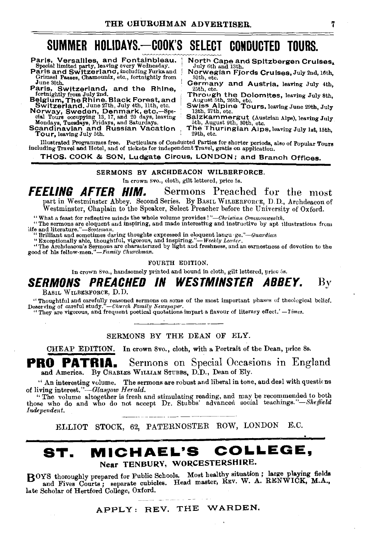## SUMMER HOLIDAYS.-COOK'S SELECT CONDUCTED TOURS.

Grimsel Passes, Chamounix, etc., fortnightly from June 30th.

- Paris, Switzerland, and the Rhine,<br>forhightly from July 2nd.<br>Belgium, The Rhine. Black Forest, and<br>Switzerland. June 27th, July 4th, 11th, etc.<br>Norway, Sweden, Denmark, etc.—Spe-<br>cial Tours occupying 13, 17, and 20 days, l
- 

Paris, Versailles, and Fontainbleau. North Cape and Spitzbergen Cruises.<br>Special limited party, leaving every Wednesday. July 6th and 13th.<br>Paris and Switzerland, including Furkaand Norwegian Fjords Cruises, July 2nd, 16th

- July 6th and 1sth.<br>
Norwegian Fjords Cruises, July 2nd, 16th,<br>
30th, etc.<br>
Cermany and Austria, leaving July 4th,<br>
25th, etc.<br>
Through the Dolomites, leaving July 8th,<br>
August 5th, 26th, etc.<br>
Swiss Alpine Tours, leaving J
- 
- 
- Salzkammergut (Austrian Alps), leaving July 5th, August 9th, 30th, *etc.*<br>The Thuringian Alps, leaving July 1st, 15th, 29th, etc.
- 

Illustrated Programmes free. Particulars of Conducted Parties for shorter periods, also of Popular Tours including Travel and Hotel, and of tickets for independent Travel, gratis on application.

#### THOS. COOK & SON, Ludgate Circus, LONDON; and Branch Offices.

#### SERMONS BY ARCHDEACON WILBERFORCE.

In crown Svo., cloth, gilt lettered, price 5s.

**FEELING AFTER HIM.** Sermons Preached for the most part in Westminster Abbey. Second Series. By BASIL WH.BERFORCE, D.D., Archdeacon of part in Westminster Abovy. Second School of Streacher before the University of Oxford.<br>Westminster, Chaplain to the Speaker, Select Preacher before the University of Oxford.

"What a feast for reflective minds the whole volume provides!"—Christian Commonwealth.<br>"The sermons are eloquent and inspiring, and made interesting and instructive by apt illustrations from The sermons are eloquent and inspiring, and made interesting and instructive by apt illustrations from "hife and literations".<br>hife and literature."—Scotsman.<br>"Brilliant and sometimes daring thoughts expressed in eloquent

" Exceptionally able, thoughtful, vigorous, and inspiring."—Weekly Leader.<br>"The Archdeacon's Sermons are characterized by light and freshness, and an earnestness of devotion to the good of his fellow men."—Family Churchma

#### FOURTH EDITION.

In crown Svo., handsomely printed and bound in cloth, gilt lettered, price 5s.

### SERMONS PREACHED IN WESTMINSTER ABBEY. By

BASIL WILBERFORCE, D.D.

"Thoughtful and carefully reasoned sermons on some of the most important phases of theological belief.<br>eserving of careful study."-Church Family Newspaper. Described of careful study."-Church Family Newspaper.<br>"They are vigorous, and frequent poetical quotations impart a flavour of literary effect.'- Times.

SERMONS BY THE DEAN OF ELY.

CHEAP EDITION. In crown Svo., cloth, with a Portrait of the Dean, price Ss.

**PRO PATRIA.** Sermons on Special Occasions in England and America. By CHARLES WILLIAM STUBBS, D.D., Dean of Ely.

''An interesting volume. The sermons are robust and liberal in tone, and deal with questi< ns of living *interest."-Glasgow Herald.* 

"The volume altogether is fresh and stimulating reading, and may be recommended to both those who do and who do not accept Dr. Stubbs' advanced social *teachings."-Sheffield Independent.* 

ELLIOT STOCK, 62, PATERNOSTER ROW, LONDON E.C.

### **ST. MICHAEL'S COLLEGE,**  Near TENBURY, WORCESTERSHIRE.

BOYS thoroughly prepared for Public Schools. Most healthy situation; large playing fields and Fives Courts; separate cubicles. Head master, REV. W. A. RENWICK, M.A., late Scholar of Hertford College, Oxford.

APPLY: REV. THE WARDEN.